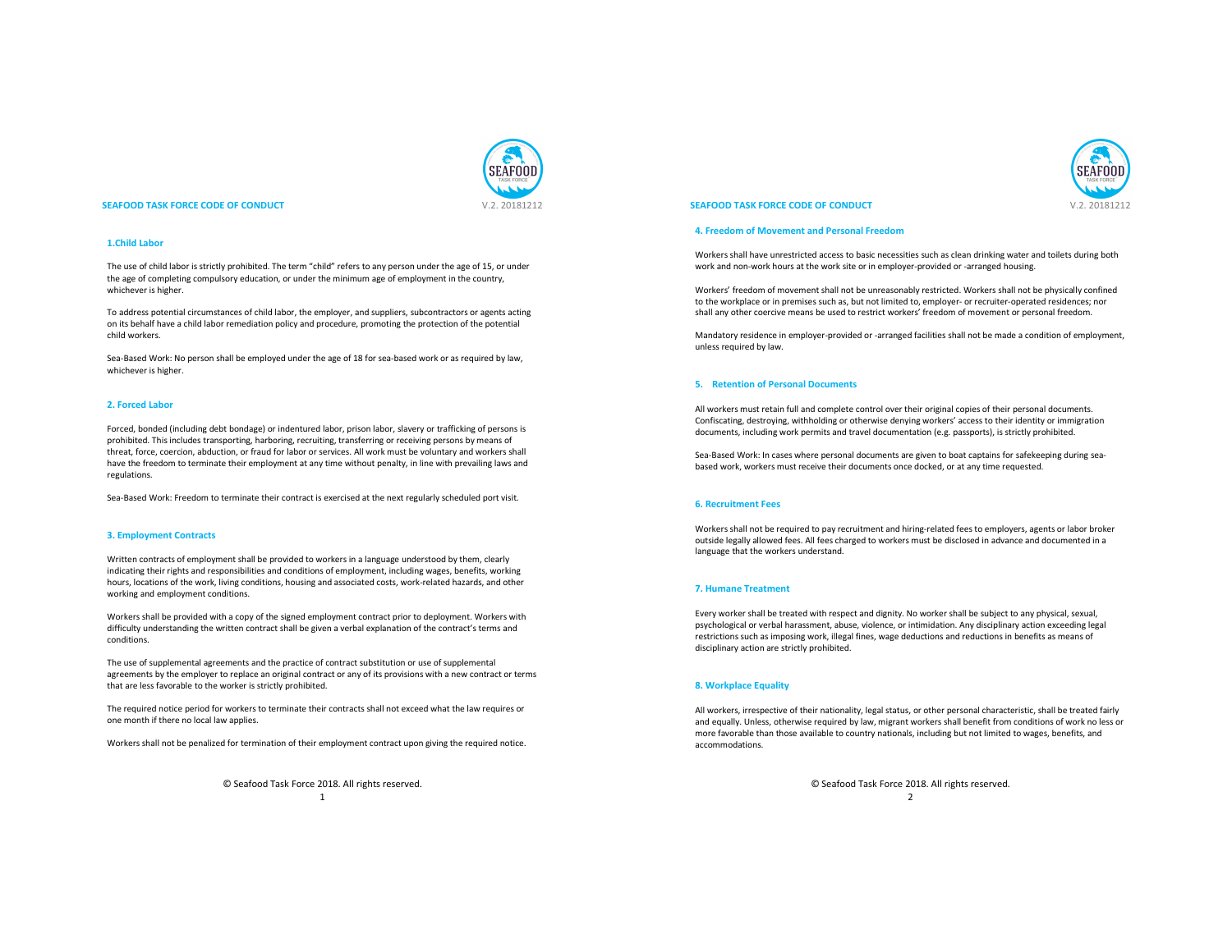

#### **SEAFOOD TASK FORCE CODE OF CONDUCT And A SEAFOOD TASK FORCE CODE OF CONDUCT V.2. 20181212**

## **1.Child Labor**

The use of child labor is strictly prohibited. The term "child" refers to any person under the age of 15, or under the age of completing compulsory education, or under the minimum age of employment in the country, whichever is higher.

To address potential circumstances of child labor, the employer, and suppliers, subcontractors or agents acting on its behalf have a child labor remediation policy and procedure, promoting the protection of the potential child workers.

Sea-Based Work: No person shall be employed under the age of 18 for sea-based work or as required by law, whichever is higher.

#### **2. Forced Labor**

Forced, bonded (including debt bondage) or indentured labor, prison labor, slavery or trafficking of persons is prohibited. This includes transporting, harboring, recruiting, transferring or receiving persons by means of threat, force, coercion, abduction, or fraud for labor or services. All work must be voluntary and workers shall have the freedom to terminate their employment at any time without penalty, in line with prevailing laws and regulations.

Sea-Based Work: Freedom to terminate their contract is exercised at the next regularly scheduled port visit.

#### **3. Employment Contracts**

Written contracts of employment shall be provided to workers in a language understood by them, clearly indicating their rights and responsibilities and conditions of employment, including wages, benefits, working hours, locations of the work, living conditions, housing and associated costs, work-related hazards, and other working and employment conditions.

Workers shall be provided with a copy of the signed employment contract prior to deployment. Workers with difficulty understanding the written contract shall be given a verbal explanation of the contract's terms and conditions.

The use of supplemental agreements and the practice of contract substitution or use of supplemental agreements by the employer to replace an original contract or any of its provisions with a new contract or terms that are less favorable to the worker is strictly prohibited.

The required notice period for workers to terminate their contracts shall not exceed what the law requires or one month if there no local law applies.

Workers shall not be penalized for termination of their employment contract upon giving the required notice.

© Seafood Task Force 2018. All rights reserved.

1

## **SEAFOOD TASK FORCE CODE OF CONDUCT** V.2. 20181212

#### **4. Freedom of Movement and Personal Freedom**

Workers shall have unrestricted access to basic necessities such as clean drinking water and toilets during both work and non-work hours at the work site or in employer-provided or -arranged housing.

Workers' freedom of movement shall not be unreasonably restricted. Workers shall not be physically confined to the workplace or in premises such as, but not limited to, employer- or recruiter-operated residences; nor shall any other coercive means be used to restrict workers' freedom of movement or personal freedom.

Mandatory residence in employer-provided or -arranged facilities shall not be made a condition of employment, unless required by law.

#### **5. Retention of Personal Documents**

All workers must retain full and complete control over their original copies of their personal documents. Confiscating, destroying, withholding or otherwise denying workers' access to their identity or immigration documents, including work permits and travel documentation (e.g. passports), is strictly prohibited.

Sea-Based Work: In cases where personal documents are given to boat captains for safekeeping during seabased work, workers must receive their documents once docked, or at any time requested.

## **6. Recruitment Fees**

Workers shall not be required to pay recruitment and hiring-related fees to employers, agents or labor broker outside legally allowed fees. All fees charged to workers must be disclosed in advance and documented in a language that the workers understand.

## **7. Humane Treatment**

Every worker shall be treated with respect and dignity. No worker shall be subject to any physical, sexual, psychological or verbal harassment, abuse, violence, or intimidation. Any disciplinary action exceeding legal restrictions such as imposing work, illegal fines, wage deductions and reductions in benefits as means of disciplinary action are strictly prohibited.

#### **8. Workplace Equality**

All workers, irrespective of their nationality, legal status, or other personal characteristic, shall be treated fairly and equally. Unless, otherwise required by law, migrant workers shall benefit from conditions of work no less or more favorable than those available to country nationals, including but not limited to wages, benefits, and accommodations.

> © Seafood Task Force 2018. All rights reserved.  $\overline{2}$